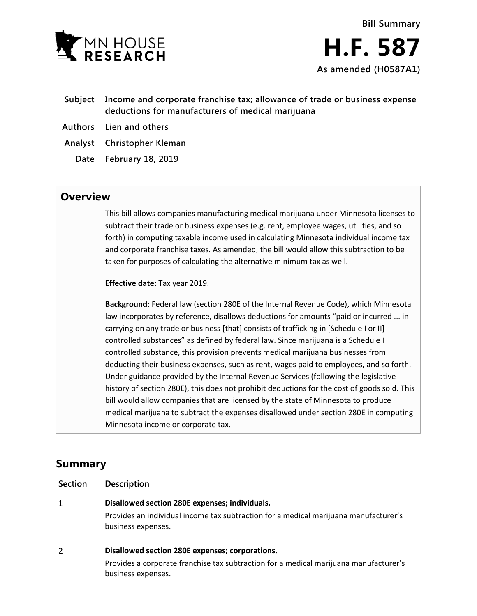

- **Subject Income and corporate franchise tax; allowance of trade or business expense deductions for manufacturers of medical marijuana**
- **Authors Lien and others**
- **Analyst Christopher Kleman**
	- **Date February 18, 2019**

# **Overview**

This bill allows companies manufacturing medical marijuana under Minnesota licenses to subtract their trade or business expenses (e.g. rent, employee wages, utilities, and so forth) in computing taxable income used in calculating Minnesota individual income tax and corporate franchise taxes. As amended, the bill would allow this subtraction to be taken for purposes of calculating the alternative minimum tax as well.

**Effective date:** Tax year 2019.

**Background:** Federal law (section 280E of the Internal Revenue Code), which Minnesota law incorporates by reference, disallows deductions for amounts "paid or incurred ... in carrying on any trade or business [that] consists of trafficking in [Schedule I or II] controlled substances" as defined by federal law. Since marijuana is a Schedule I controlled substance, this provision prevents medical marijuana businesses from deducting their business expenses, such as rent, wages paid to employees, and so forth. Under guidance provided by the Internal Revenue Services (following the legislative history of section 280E), this does not prohibit deductions for the cost of goods sold. This bill would allow companies that are licensed by the state of Minnesota to produce medical marijuana to subtract the expenses disallowed under section 280E in computing Minnesota income or corporate tax.

# **Summary**

| Section | <b>Description</b>                                                                                          |
|---------|-------------------------------------------------------------------------------------------------------------|
| 1       | Disallowed section 280E expenses; individuals.                                                              |
|         | Provides an individual income tax subtraction for a medical marijuana manufacturer's<br>business expenses.  |
| 2       | Disallowed section 280E expenses; corporations.                                                             |
|         | Provides a corporate franchise tax subtraction for a medical marijuana manufacturer's<br>business expenses. |